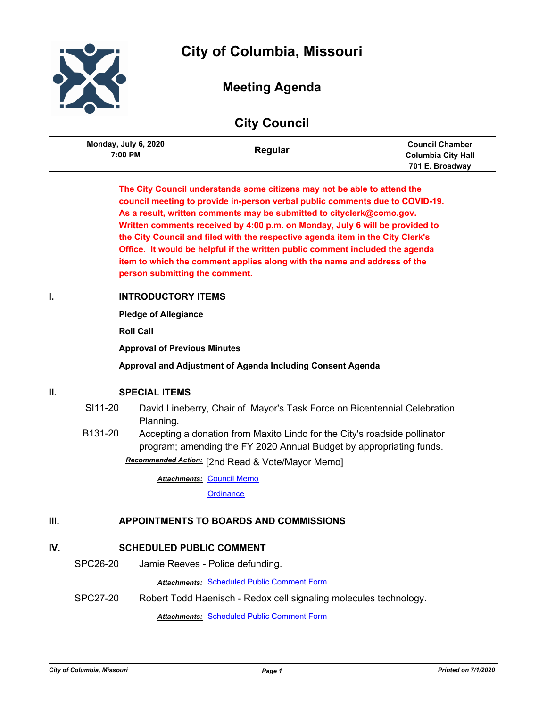



# **Meeting Agenda**

# **City Council**

| Monday, July 6, 2020<br>7:00 PM | Regular | <b>Council Chamber</b><br><b>Columbia City Hall</b> |
|---------------------------------|---------|-----------------------------------------------------|
|                                 |         | 701 E. Broadway                                     |

**The City Council understands some citizens may not be able to attend the council meeting to provide in-person verbal public comments due to COVID-19. As a result, written comments may be submitted to cityclerk@como.gov. Written comments received by 4:00 p.m. on Monday, July 6 will be provided to the City Council and filed with the respective agenda item in the City Clerk's Office. It would be helpful if the written public comment included the agenda item to which the comment applies along with the name and address of the person submitting the comment.**

# **I. INTRODUCTORY ITEMS**

**Pledge of Allegiance**

**Roll Call**

**Approval of Previous Minutes**

**Approval and Adjustment of Agenda Including Consent Agenda**

# **II. SPECIAL ITEMS**

- SI11-20 David Lineberry, Chair of Mayor's Task Force on Bicentennial Celebration Planning.
- B131-20 Accepting a donation from Maxito Lindo for the City's roadside pollinator program; amending the FY 2020 Annual Budget by appropriating funds. [2nd Read & Vote/Mayor Memo] *Recommended Action:*

**Attachments: [Council Memo](http://gocolumbiamo.legistar.com/gateway.aspx?M=F&ID=c01dbd5c-647f-43af-acd4-e3be3d07d2f6.docx)** 

**[Ordinance](http://gocolumbiamo.legistar.com/gateway.aspx?M=F&ID=6b9de614-4dd1-4e1a-a12f-0235f23f6a3d.doc)** 

# **III. APPOINTMENTS TO BOARDS AND COMMISSIONS**

# **IV. SCHEDULED PUBLIC COMMENT**

SPC26-20 Jamie Reeves - Police defunding.

*Attachments:* [Scheduled Public Comment Form](http://gocolumbiamo.legistar.com/gateway.aspx?M=F&ID=42752672-e1bf-40ec-912f-a3394627ee65.pdf)

SPC27-20 Robert Todd Haenisch - Redox cell signaling molecules technology.

*Attachments:* [Scheduled Public Comment Form](http://gocolumbiamo.legistar.com/gateway.aspx?M=F&ID=16a7023e-68f1-42a9-965c-486e0905f358.pdf)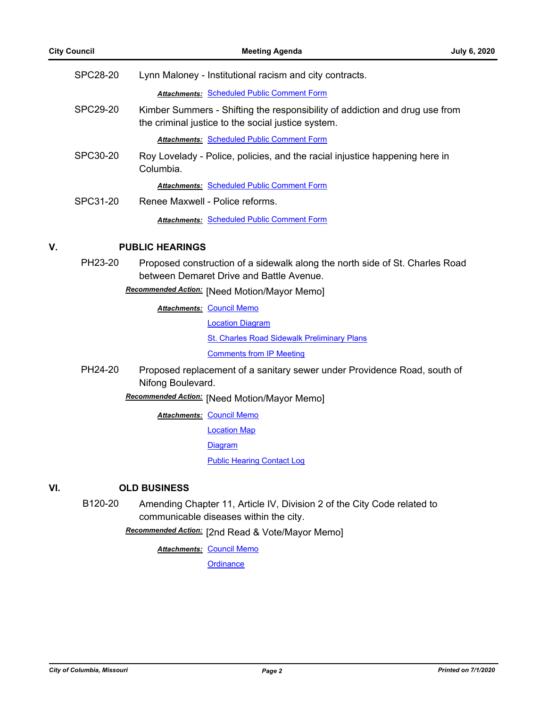| SPC28-20 | Lynn Maloney - Institutional racism and city contracts.                                                                           |
|----------|-----------------------------------------------------------------------------------------------------------------------------------|
|          | <b>Attachments: Scheduled Public Comment Form</b>                                                                                 |
| SPC29-20 | Kimber Summers - Shifting the responsibility of addiction and drug use from<br>the criminal justice to the social justice system. |
|          | <b>Attachments: Scheduled Public Comment Form</b>                                                                                 |
| SPC30-20 | Roy Lovelady - Police, policies, and the racial injustice happening here in<br>Columbia.                                          |
|          | <b>Attachments: Scheduled Public Comment Form</b>                                                                                 |
| SPC31-20 | Renee Maxwell - Police reforms                                                                                                    |
|          | Attachments: Scheduled Public Comment Form                                                                                        |

# **V. PUBLIC HEARINGS**

PH23-20 Proposed construction of a sidewalk along the north side of St. Charles Road between Demaret Drive and Battle Avenue.

[Need Motion/Mayor Memo] *Recommended Action:*

**Attachments: [Council Memo](http://gocolumbiamo.legistar.com/gateway.aspx?M=F&ID=c7a5b272-2771-4831-aab6-42dd25786221.docx)** [Location Diagram](http://gocolumbiamo.legistar.com/gateway.aspx?M=F&ID=b865bf3d-9ca5-4a9f-8214-2c67860bd0cf.pdf) **[St. Charles Road Sidewalk Preliminary Plans](http://gocolumbiamo.legistar.com/gateway.aspx?M=F&ID=02d7fc51-cf4e-4dd4-96d6-1383465c9b17.pdf)** [Comments from IP Meeting](http://gocolumbiamo.legistar.com/gateway.aspx?M=F&ID=f9bf53e4-7ded-43d4-beaa-d198efdf885e.pdf)

PH24-20 Proposed replacement of a sanitary sewer under Providence Road, south of Nifong Boulevard.

[Need Motion/Mayor Memo] *Recommended Action:*

**Attachments: [Council Memo](http://gocolumbiamo.legistar.com/gateway.aspx?M=F&ID=a4b07ae4-1d49-4fde-973a-79be78032c06.docx)** 

[Location Map](http://gocolumbiamo.legistar.com/gateway.aspx?M=F&ID=f7f24221-98b4-49d9-9efd-c7c252317b0f.pdf)

[Diagram](http://gocolumbiamo.legistar.com/gateway.aspx?M=F&ID=4edaafb0-31cc-4b54-bb74-46d4a223a3ab.pdf)

[Public Hearing Contact Log](http://gocolumbiamo.legistar.com/gateway.aspx?M=F&ID=47d2003e-6506-4bb1-808b-8443be3d7ab2.pdf)

# **VI. OLD BUSINESS**

B120-20 Amending Chapter 11, Article IV, Division 2 of the City Code related to communicable diseases within the city.

[2nd Read & Vote/Mayor Memo] *Recommended Action:*

**Attachments: [Council Memo](http://gocolumbiamo.legistar.com/gateway.aspx?M=F&ID=a86ee264-2f3f-4a97-abe6-73d75059aa51.docx)**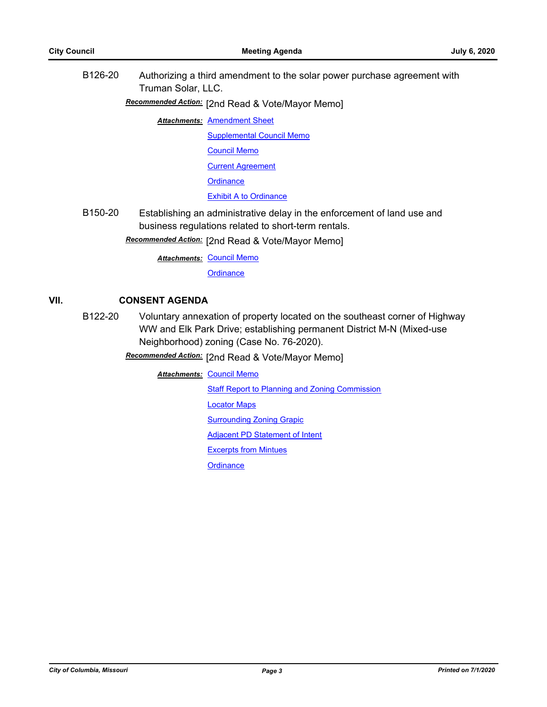B126-20 Authorizing a third amendment to the solar power purchase agreement with Truman Solar, LLC.

[2nd Read & Vote/Mayor Memo] *Recommended Action:*

**Attachments: [Amendment Sheet](http://gocolumbiamo.legistar.com/gateway.aspx?M=F&ID=6459e0e1-d7c0-453d-b67a-65e9480fe895.pdf)** 

[Supplemental Council Memo](http://gocolumbiamo.legistar.com/gateway.aspx?M=F&ID=7e466424-2ca1-443c-bcb3-22a3e0d812d1.docx)

[Council Memo](http://gocolumbiamo.legistar.com/gateway.aspx?M=F&ID=f84d8f14-bd68-43f0-8c29-421e68a62310.docx)

[Current Agreement](http://gocolumbiamo.legistar.com/gateway.aspx?M=F&ID=ff8b22f0-aed2-45e6-9f3c-128550d92e7c.PDF)

**[Ordinance](http://gocolumbiamo.legistar.com/gateway.aspx?M=F&ID=872b5d37-c6a0-41c1-a4cb-af923b0b8da4.doc)** 

[Exhibit A to Ordinance](http://gocolumbiamo.legistar.com/gateway.aspx?M=F&ID=5623f3da-a575-4295-a766-9641e1d8daad.pdf)

B150-20 Establishing an administrative delay in the enforcement of land use and business regulations related to short-term rentals.

[2nd Read & Vote/Mayor Memo] *Recommended Action:*

**Attachments: [Council Memo](http://gocolumbiamo.legistar.com/gateway.aspx?M=F&ID=5adbadef-17e3-4475-9c09-604cf7754d46.docx)** 

**[Ordinance](http://gocolumbiamo.legistar.com/gateway.aspx?M=F&ID=f126e0c9-658c-4fb2-95b8-e4ffbdee6c68.doc)** 

# **VII. CONSENT AGENDA**

B122-20 Voluntary annexation of property located on the southeast corner of Highway WW and Elk Park Drive; establishing permanent District M-N (Mixed-use Neighborhood) zoning (Case No. 76-2020).

[2nd Read & Vote/Mayor Memo] *Recommended Action:*

**Attachments: [Council Memo](http://gocolumbiamo.legistar.com/gateway.aspx?M=F&ID=ab15c830-0480-44d5-9467-a299c44a554e.docx)** 

[Staff Report to Planning and Zoning Commission](http://gocolumbiamo.legistar.com/gateway.aspx?M=F&ID=651af68e-ed91-4019-9a37-867feef92139.docx)

[Locator Maps](http://gocolumbiamo.legistar.com/gateway.aspx?M=F&ID=b3704d61-6565-47aa-bd42-9b222b61417f.pdf)

**[Surrounding Zoning Grapic](http://gocolumbiamo.legistar.com/gateway.aspx?M=F&ID=6ff1be73-6713-4eec-9226-dd16fd789ff6.pdf)** 

[Adjacent PD Statement of Intent](http://gocolumbiamo.legistar.com/gateway.aspx?M=F&ID=b9ce5996-397c-4fc5-b22f-4cca6608ce74.pdf)

[Excerpts from Mintues](http://gocolumbiamo.legistar.com/gateway.aspx?M=F&ID=80e4b511-f826-48fa-860a-7007380e9ec9.docx)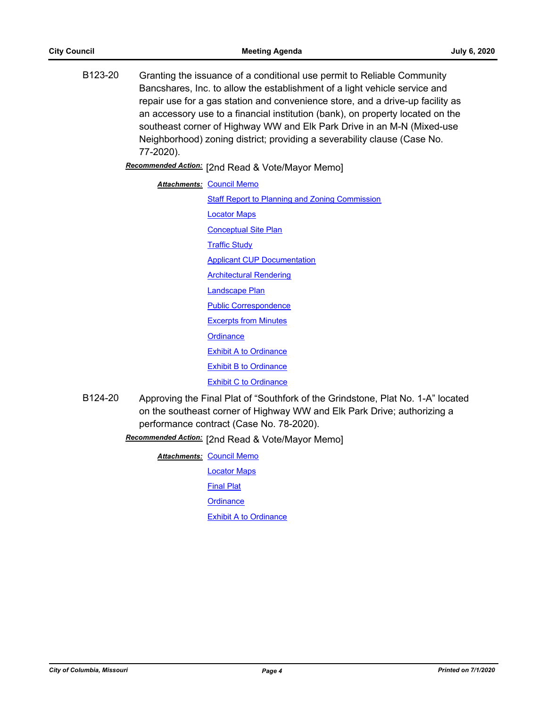- B123-20 Granting the issuance of a conditional use permit to Reliable Community Bancshares, Inc. to allow the establishment of a light vehicle service and repair use for a gas station and convenience store, and a drive-up facility as an accessory use to a financial institution (bank), on property located on the southeast corner of Highway WW and Elk Park Drive in an M-N (Mixed-use Neighborhood) zoning district; providing a severability clause (Case No. 77-2020). [2nd Read & Vote/Mayor Memo] *Recommended Action:* **Attachments: [Council Memo](http://gocolumbiamo.legistar.com/gateway.aspx?M=F&ID=3e2802f4-918a-4679-909f-6f283d8080f7.docx) [Staff Report to Planning and Zoning Commission](http://gocolumbiamo.legistar.com/gateway.aspx?M=F&ID=2dabb5c6-a2eb-4a64-9abc-65a8d0bd29fa.docx)** [Locator Maps](http://gocolumbiamo.legistar.com/gateway.aspx?M=F&ID=e57475bf-3f44-4fef-aede-342505177bc6.pdf) [Conceptual Site Plan](http://gocolumbiamo.legistar.com/gateway.aspx?M=F&ID=a20f2a2d-0b5f-4c99-aaae-d6dc984afc44.pdf) [Traffic Study](http://gocolumbiamo.legistar.com/gateway.aspx?M=F&ID=993ceeef-81e9-42cd-9577-3a863647c953.pdf) [Applicant CUP Documentation](http://gocolumbiamo.legistar.com/gateway.aspx?M=F&ID=5350da2a-c47c-4f36-ada7-cab2e2387d34.pdf) [Architectural Rendering](http://gocolumbiamo.legistar.com/gateway.aspx?M=F&ID=4e31facb-b6a6-408e-aaa4-159314f42945.pdf) [Landscape Plan](http://gocolumbiamo.legistar.com/gateway.aspx?M=F&ID=18d30f51-4af1-4983-b2a7-577cbc99288c.pdf) [Public Correspondence](http://gocolumbiamo.legistar.com/gateway.aspx?M=F&ID=9dff9470-dedd-4792-8983-a50b08a36864.pdf) [Excerpts from Minutes](http://gocolumbiamo.legistar.com/gateway.aspx?M=F&ID=2c5a3685-da05-43c5-b11e-ed2f3f8fe8a1.docx) **[Ordinance](http://gocolumbiamo.legistar.com/gateway.aspx?M=F&ID=6e855e98-c917-411b-a513-d3752684aab5.doc)** [Exhibit A to Ordinance](http://gocolumbiamo.legistar.com/gateway.aspx?M=F&ID=dd04da06-304c-4536-83e9-32edee5c1643.pdf) [Exhibit B to Ordinance](http://gocolumbiamo.legistar.com/gateway.aspx?M=F&ID=a81df988-380c-44d2-9717-fe3cb63710a7.pdf)
- [Exhibit C to Ordinance](http://gocolumbiamo.legistar.com/gateway.aspx?M=F&ID=cc419177-0ce9-436a-9e67-1d8eb6837ff3.pdf) B124-20 Approving the Final Plat of "Southfork of the Grindstone, Plat No. 1-A" located on the southeast corner of Highway WW and Elk Park Drive; authorizing a
	- performance contract (Case No. 78-2020).
	- Recommended Action: [2nd Read & Vote/Mayor Memo]

**Attachments: [Council Memo](http://gocolumbiamo.legistar.com/gateway.aspx?M=F&ID=b248a869-c4f0-486d-b39e-06272d158a2e.docx)** [Locator Maps](http://gocolumbiamo.legistar.com/gateway.aspx?M=F&ID=c06df2a2-5462-4b5c-bb20-e64eac7aff2d.pdf) [Final Plat](http://gocolumbiamo.legistar.com/gateway.aspx?M=F&ID=ba97cf91-183f-415e-9da8-bebd8708f81e.pdf) **[Ordinance](http://gocolumbiamo.legistar.com/gateway.aspx?M=F&ID=f601ea3c-65d0-4311-b421-f3247482f7b7.doc)** [Exhibit A to Ordinance](http://gocolumbiamo.legistar.com/gateway.aspx?M=F&ID=cd90353f-3b11-442e-83c4-1bd1c203d255.pdf)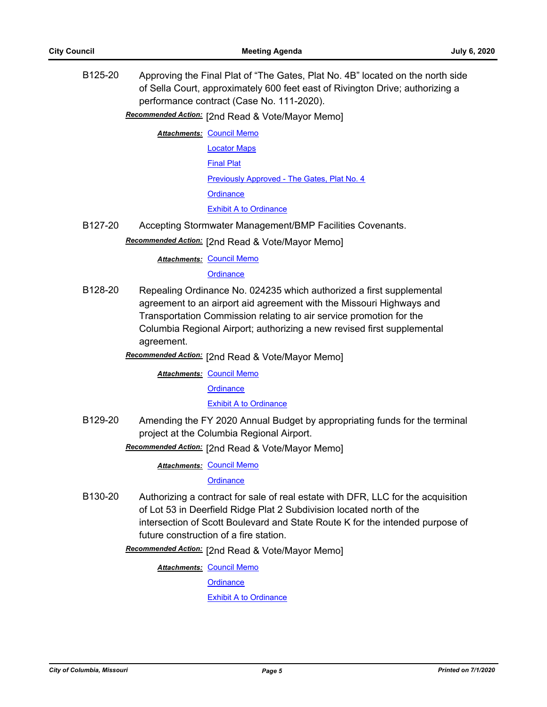B125-20 Approving the Final Plat of "The Gates, Plat No. 4B" located on the north side of Sella Court, approximately 600 feet east of Rivington Drive; authorizing a performance contract (Case No. 111-2020).

Recommended Action: [2nd Read & Vote/Mayor Memo]

- **Attachments: [Council Memo](http://gocolumbiamo.legistar.com/gateway.aspx?M=F&ID=1aa96d88-9ba5-45d2-9da3-0968318eeaff.docx)** [Locator Maps](http://gocolumbiamo.legistar.com/gateway.aspx?M=F&ID=09a78f12-28e5-4f2b-8ef4-03b50a42d302.pdf) [Final Plat](http://gocolumbiamo.legistar.com/gateway.aspx?M=F&ID=ac28e720-0c62-4193-b66f-eee73562a5bb.pdf) [Previously Approved - The Gates, Plat No. 4](http://gocolumbiamo.legistar.com/gateway.aspx?M=F&ID=59901c0a-0741-4b36-b525-f7ad8d4d932b.pdf) **[Ordinance](http://gocolumbiamo.legistar.com/gateway.aspx?M=F&ID=a3fdb472-9b50-4bee-a134-1d6a708651e6.doc)** [Exhibit A to Ordinance](http://gocolumbiamo.legistar.com/gateway.aspx?M=F&ID=92a10b62-830a-4bb4-962c-aceae3cd4cf1.pdf)
- B127-20 Accepting Stormwater Management/BMP Facilities Covenants.

# Recommended Action: [2nd Read & Vote/Mayor Memo]

**Attachments: [Council Memo](http://gocolumbiamo.legistar.com/gateway.aspx?M=F&ID=957ccdab-fce1-4ded-8096-7e56f14cc885.docx)** 

**[Ordinance](http://gocolumbiamo.legistar.com/gateway.aspx?M=F&ID=f6870952-b495-4573-baed-701d14800fb7.doc)** 

- B128-20 Repealing Ordinance No. 024235 which authorized a first supplemental agreement to an airport aid agreement with the Missouri Highways and Transportation Commission relating to air service promotion for the Columbia Regional Airport; authorizing a new revised first supplemental agreement.
	- Recommended Action: [2nd Read & Vote/Mayor Memo]

**Attachments: [Council Memo](http://gocolumbiamo.legistar.com/gateway.aspx?M=F&ID=57c517c7-dbb1-4fb2-9039-666d0b3e5f6f.docx)** 

**[Ordinance](http://gocolumbiamo.legistar.com/gateway.aspx?M=F&ID=0704d75d-effd-433e-b1b4-23d15dc6722d.doc)** 

[Exhibit A to Ordinance](http://gocolumbiamo.legistar.com/gateway.aspx?M=F&ID=5d52c9d1-b02a-4809-9e91-fd0b7c0079e4.pdf)

B129-20 Amending the FY 2020 Annual Budget by appropriating funds for the terminal project at the Columbia Regional Airport.

# Recommended Action: [2nd Read & Vote/Mayor Memo]

**Attachments: [Council Memo](http://gocolumbiamo.legistar.com/gateway.aspx?M=F&ID=90fd3456-44d6-423a-89e6-d1c196617198.docx)** 

**[Ordinance](http://gocolumbiamo.legistar.com/gateway.aspx?M=F&ID=ac7e89c1-252e-41ca-b04a-d71d2f0674f5.doc)** 

B130-20 Authorizing a contract for sale of real estate with DFR, LLC for the acquisition of Lot 53 in Deerfield Ridge Plat 2 Subdivision located north of the intersection of Scott Boulevard and State Route K for the intended purpose of future construction of a fire station.

Recommended Action: [2nd Read & Vote/Mayor Memo]

**Attachments: [Council Memo](http://gocolumbiamo.legistar.com/gateway.aspx?M=F&ID=2bce77bf-2b17-4e24-a28c-e3ae580a47e5.docx)** 

**[Ordinance](http://gocolumbiamo.legistar.com/gateway.aspx?M=F&ID=3dd1aa95-7abe-4684-99c4-6a494a5f9b02.doc)** 

[Exhibit A to Ordinance](http://gocolumbiamo.legistar.com/gateway.aspx?M=F&ID=f697d2b2-a78f-4aef-ba6f-77d2ffda629c.pdf)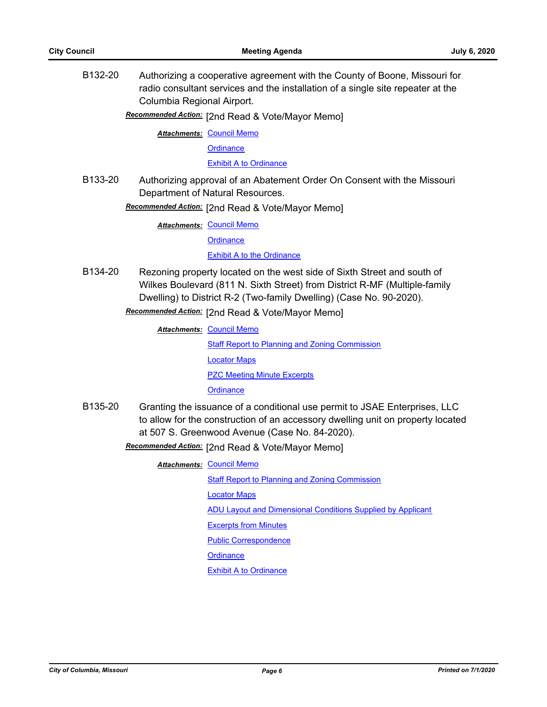B132-20 Authorizing a cooperative agreement with the County of Boone, Missouri for radio consultant services and the installation of a single site repeater at the Columbia Regional Airport.

Recommended Action: [2nd Read & Vote/Mayor Memo]

**Attachments: [Council Memo](http://gocolumbiamo.legistar.com/gateway.aspx?M=F&ID=4ffbf475-a1dc-4b8b-ae4a-de6737d7a72c.docx)** 

**[Ordinance](http://gocolumbiamo.legistar.com/gateway.aspx?M=F&ID=9abe3978-3ea8-4855-8f34-78633112534d.doc)** 

[Exhibit A to Ordinance](http://gocolumbiamo.legistar.com/gateway.aspx?M=F&ID=72cc321a-55eb-4078-a74c-678288d66f17.pdf)

B133-20 Authorizing approval of an Abatement Order On Consent with the Missouri Department of Natural Resources.

**Recommended Action:** [2nd Read & Vote/Mayor Memo]

**Attachments: [Council Memo](http://gocolumbiamo.legistar.com/gateway.aspx?M=F&ID=09c45b36-1ef0-45ca-bfaa-c8726f9314a1.docx)** 

**[Ordinance](http://gocolumbiamo.legistar.com/gateway.aspx?M=F&ID=edcded8b-4259-4f1e-a10b-9792532f3297.doc)** 

[Exhibit A to the Ordinance](http://gocolumbiamo.legistar.com/gateway.aspx?M=F&ID=d0cb9e52-fdf8-4508-aa6a-e3073ef17df0.pdf)

B134-20 Rezoning property located on the west side of Sixth Street and south of Wilkes Boulevard (811 N. Sixth Street) from District R-MF (Multiple-family Dwelling) to District R-2 (Two-family Dwelling) (Case No. 90-2020).

Recommended Action: [2nd Read & Vote/Mayor Memo]

**Attachments: [Council Memo](http://gocolumbiamo.legistar.com/gateway.aspx?M=F&ID=614fb20d-d97f-482f-bd3e-c85f1bba555a.docx)** 

[Staff Report to Planning and Zoning Commission](http://gocolumbiamo.legistar.com/gateway.aspx?M=F&ID=721a01c4-c641-4671-a5c6-577a833d8e84.docx) [Locator Maps](http://gocolumbiamo.legistar.com/gateway.aspx?M=F&ID=b5e4d045-3b92-4ce7-ba64-e69fd2396fec.pdf) [PZC Meeting Minute Excerpts](http://gocolumbiamo.legistar.com/gateway.aspx?M=F&ID=44ae3c89-94da-4395-9123-dfb318080821.docx) **[Ordinance](http://gocolumbiamo.legistar.com/gateway.aspx?M=F&ID=aa670d82-a591-4f5e-98f4-f3c9af1b1e63.doc)** 

B135-20 Granting the issuance of a conditional use permit to JSAE Enterprises, LLC to allow for the construction of an accessory dwelling unit on property located at 507 S. Greenwood Avenue (Case No. 84-2020).

Recommended Action: [2nd Read & Vote/Mayor Memo]

**Attachments: [Council Memo](http://gocolumbiamo.legistar.com/gateway.aspx?M=F&ID=6f4a029f-8512-44fb-9ee4-610f40ea0d2c.docx)** 

[Staff Report to Planning and Zoning Commission](http://gocolumbiamo.legistar.com/gateway.aspx?M=F&ID=aef6bc43-175e-42d7-95c2-0004a00e9bc2.docx)

[Locator Maps](http://gocolumbiamo.legistar.com/gateway.aspx?M=F&ID=c551bdc5-f367-483d-8b52-3726ed534c55.pdf)

[ADU Layout and Dimensional Conditions Supplied by Applicant](http://gocolumbiamo.legistar.com/gateway.aspx?M=F&ID=f04c23ad-d751-408e-8b42-59068b0840a8.pdf)

[Excerpts from Minutes](http://gocolumbiamo.legistar.com/gateway.aspx?M=F&ID=0f45afe0-4cef-4364-aed1-d7eb63aa3ffb.docx)

[Public Correspondence](http://gocolumbiamo.legistar.com/gateway.aspx?M=F&ID=eea5e5be-044c-41ac-9b09-2880963b37de.pdf)

**[Ordinance](http://gocolumbiamo.legistar.com/gateway.aspx?M=F&ID=92c02617-4cd7-4f1a-ac62-15c8df59d4d6.doc)** 

[Exhibit A to Ordinance](http://gocolumbiamo.legistar.com/gateway.aspx?M=F&ID=c4414a90-7163-4057-ac01-a4522b7f23bc.docx)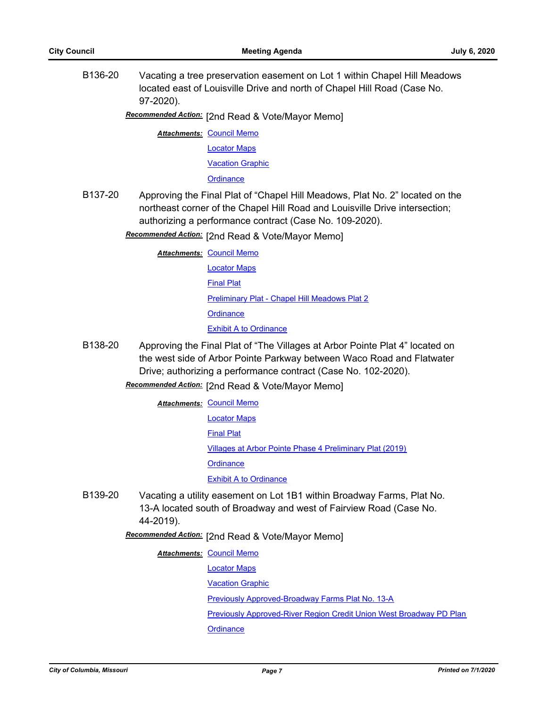B136-20 Vacating a tree preservation easement on Lot 1 within Chapel Hill Meadows located east of Louisville Drive and north of Chapel Hill Road (Case No. 97-2020).

Recommended Action: [2nd Read & Vote/Mayor Memo]

**Attachments: [Council Memo](http://gocolumbiamo.legistar.com/gateway.aspx?M=F&ID=e9b96e4b-eff6-4a42-9594-7c0c5c8caf43.docx)** 

[Locator Maps](http://gocolumbiamo.legistar.com/gateway.aspx?M=F&ID=49c1d8f4-e836-4259-a15a-03e3b2e5b01e.pdf)

[Vacation Graphic](http://gocolumbiamo.legistar.com/gateway.aspx?M=F&ID=fe98b6d6-2c22-4efb-a7e9-c0b4ba629008.pdf)

**[Ordinance](http://gocolumbiamo.legistar.com/gateway.aspx?M=F&ID=eb07d02f-5cd5-4b13-b436-e584aa909da8.doc)** 

B137-20 Approving the Final Plat of "Chapel Hill Meadows, Plat No. 2" located on the northeast corner of the Chapel Hill Road and Louisville Drive intersection; authorizing a performance contract (Case No. 109-2020).

Recommended Action: [2nd Read & Vote/Mayor Memo]

**Attachments: [Council Memo](http://gocolumbiamo.legistar.com/gateway.aspx?M=F&ID=78184da6-a9ff-4cf4-8869-c34396c630c3.docx)** [Locator Maps](http://gocolumbiamo.legistar.com/gateway.aspx?M=F&ID=eaf9d1d5-0aff-4e44-a4ee-962692b87938.pdf) [Final Plat](http://gocolumbiamo.legistar.com/gateway.aspx?M=F&ID=e8e7be70-34c5-4d50-8d89-9e42ed644c6a.pdf) [Preliminary Plat - Chapel Hill Meadows Plat 2](http://gocolumbiamo.legistar.com/gateway.aspx?M=F&ID=e289dcdc-6433-4b0d-a88c-7a55e4494803.pdf) **[Ordinance](http://gocolumbiamo.legistar.com/gateway.aspx?M=F&ID=a0014fb2-8dfb-4947-afe1-f56bf5c44e20.doc) [Exhibit A to Ordinance](http://gocolumbiamo.legistar.com/gateway.aspx?M=F&ID=b03ab55c-a20a-4a8f-b517-3f77b32c8977.pdf)** 

B138-20 Approving the Final Plat of "The Villages at Arbor Pointe Plat 4" located on the west side of Arbor Pointe Parkway between Waco Road and Flatwater Drive; authorizing a performance contract (Case No. 102-2020).

[2nd Read & Vote/Mayor Memo] *Recommended Action:*

**Attachments: [Council Memo](http://gocolumbiamo.legistar.com/gateway.aspx?M=F&ID=19d26082-f6c5-41cc-91ad-4d9ed38f4d96.docx)** 

[Locator Maps](http://gocolumbiamo.legistar.com/gateway.aspx?M=F&ID=b429f32a-306f-4f8f-b852-1c3398d3ede6.pdf)

[Final Plat](http://gocolumbiamo.legistar.com/gateway.aspx?M=F&ID=fb925a18-8472-42c1-9d03-11dc49bddc6c.pdf)

[Villages at Arbor Pointe Phase 4 Preliminary Plat \(2019\)](http://gocolumbiamo.legistar.com/gateway.aspx?M=F&ID=86aac981-c03f-49a5-96bc-82b1a64a2ddb.pdf)

**[Ordinance](http://gocolumbiamo.legistar.com/gateway.aspx?M=F&ID=b176586b-365b-492e-8455-b2b124ed59fe.doc)** 

[Exhibit A to Ordinance](http://gocolumbiamo.legistar.com/gateway.aspx?M=F&ID=4a20bfe3-77a0-4b0a-b0fe-a2e371b14274.pdf)

B139-20 Vacating a utility easement on Lot 1B1 within Broadway Farms, Plat No. 13-A located south of Broadway and west of Fairview Road (Case No. 44-2019).

Recommended Action: [2nd Read & Vote/Mayor Memo]

**Attachments: [Council Memo](http://gocolumbiamo.legistar.com/gateway.aspx?M=F&ID=df999718-42ac-41e0-a9aa-828a71c60d11.docx)** 

[Locator Maps](http://gocolumbiamo.legistar.com/gateway.aspx?M=F&ID=18a3c309-230d-4c90-8f60-378f76ea10db.pdf)

**[Vacation Graphic](http://gocolumbiamo.legistar.com/gateway.aspx?M=F&ID=86e3d48b-7ff2-4a08-b149-df823860de30.pdf)** 

[Previously Approved-Broadway Farms Plat No. 13-A](http://gocolumbiamo.legistar.com/gateway.aspx?M=F&ID=5b278a76-f940-4b9b-858e-4e45b7a16196.pdf)

[Previously Approved-River Region Credit Union West Broadway PD Plan](http://gocolumbiamo.legistar.com/gateway.aspx?M=F&ID=75a51115-c17b-46e6-9cd5-76e4688c9667.pdf)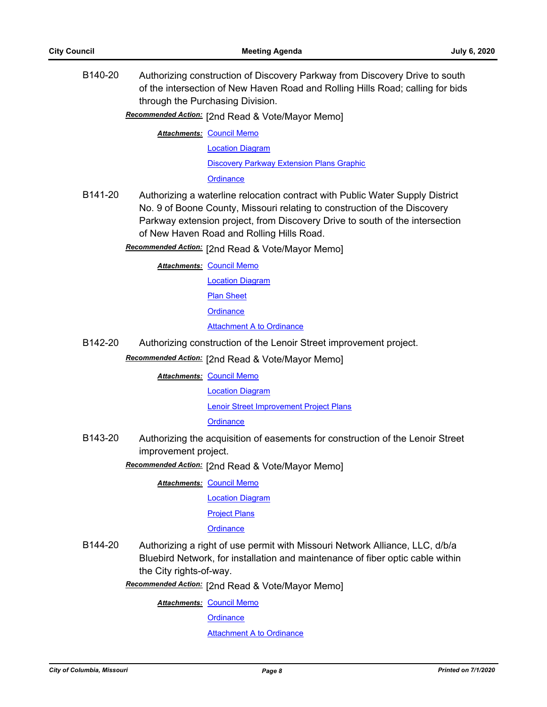B140-20 Authorizing construction of Discovery Parkway from Discovery Drive to south of the intersection of New Haven Road and Rolling Hills Road; calling for bids through the Purchasing Division.

Recommended Action: [2nd Read & Vote/Mayor Memo]

**Attachments: [Council Memo](http://gocolumbiamo.legistar.com/gateway.aspx?M=F&ID=b855900f-90f0-48d1-ad3e-63221dc82f3c.docx)** 

[Location Diagram](http://gocolumbiamo.legistar.com/gateway.aspx?M=F&ID=c55d229f-aee3-41f3-9a67-56afae2bd9d8.jpg)

[Discovery Parkway Extension Plans Graphic](http://gocolumbiamo.legistar.com/gateway.aspx?M=F&ID=578b3d84-1f63-475b-8772-9be0be0a00df.pdf)

**[Ordinance](http://gocolumbiamo.legistar.com/gateway.aspx?M=F&ID=0ff27eb0-eb91-421c-bdf1-9e9ed25c9a12.doc)** 

- B141-20 Authorizing a waterline relocation contract with Public Water Supply District No. 9 of Boone County, Missouri relating to construction of the Discovery Parkway extension project, from Discovery Drive to south of the intersection of New Haven Road and Rolling Hills Road.
	- Recommended Action: [2nd Read & Vote/Mayor Memo]

**Attachments: [Council Memo](http://gocolumbiamo.legistar.com/gateway.aspx?M=F&ID=170cd3e9-049e-4918-9b94-14fede9e08a0.docx)** 

[Location Diagram](http://gocolumbiamo.legistar.com/gateway.aspx?M=F&ID=0668d32a-6e81-455f-817c-bfab3d2c8bba.jpg)

[Plan Sheet](http://gocolumbiamo.legistar.com/gateway.aspx?M=F&ID=807e7108-cf5c-45a6-be00-6e65f6b59c0c.pdf)

**[Ordinance](http://gocolumbiamo.legistar.com/gateway.aspx?M=F&ID=93bb828e-6b59-4c68-a7be-e350a813c435.doc)** 

### [Attachment A to Ordinance](http://gocolumbiamo.legistar.com/gateway.aspx?M=F&ID=6ccdd31b-3dcb-4451-a011-dd79e6b94073.pdf)

B142-20 Authorizing construction of the Lenoir Street improvement project.

Recommended Action: [2nd Read & Vote/Mayor Memo]

**Attachments: [Council Memo](http://gocolumbiamo.legistar.com/gateway.aspx?M=F&ID=8edbdbc7-da13-4734-a233-60a01162bd0e.docx)** 

[Location Diagram](http://gocolumbiamo.legistar.com/gateway.aspx?M=F&ID=49ab8e66-2cfd-42cd-a34f-c295c8adb8be.pdf)

[Lenoir Street Improvement Project Plans](http://gocolumbiamo.legistar.com/gateway.aspx?M=F&ID=88535a8e-b2ca-480a-8d68-0f2dbc4781cb.pdf)

#### **[Ordinance](http://gocolumbiamo.legistar.com/gateway.aspx?M=F&ID=805c0159-c96d-4f5d-9cb3-66c0adcec457.doc)**

B143-20 Authorizing the acquisition of easements for construction of the Lenoir Street improvement project.

Recommended Action: [2nd Read & Vote/Mayor Memo]

**Attachments: [Council Memo](http://gocolumbiamo.legistar.com/gateway.aspx?M=F&ID=4acc9a88-3bb9-4c80-8b11-4cfa8b69466e.docx)** 

[Location Diagram](http://gocolumbiamo.legistar.com/gateway.aspx?M=F&ID=fec50ceb-dc42-42f3-932d-b1828f9cc06e.pdf)

[Project Plans](http://gocolumbiamo.legistar.com/gateway.aspx?M=F&ID=7c91edde-be6f-4321-8a37-09acac3fa8ad.pdf)

#### **[Ordinance](http://gocolumbiamo.legistar.com/gateway.aspx?M=F&ID=734bd66d-4247-45fb-8822-1707f9efb143.doc)**

B144-20 Authorizing a right of use permit with Missouri Network Alliance, LLC, d/b/a Bluebird Network, for installation and maintenance of fiber optic cable within the City rights-of-way.

Recommended Action: [2nd Read & Vote/Mayor Memo]

**Attachments: [Council Memo](http://gocolumbiamo.legistar.com/gateway.aspx?M=F&ID=a490b9b6-ecbc-4ed4-99d2-bd49824e17d2.docx)** 

**[Ordinance](http://gocolumbiamo.legistar.com/gateway.aspx?M=F&ID=4fb0f907-6328-42bf-b425-f2eac9497ac3.doc)** 

**[Attachment A to Ordinance](http://gocolumbiamo.legistar.com/gateway.aspx?M=F&ID=a33c0f80-8019-4ae9-a380-3d0f7a0b783a.pdf)**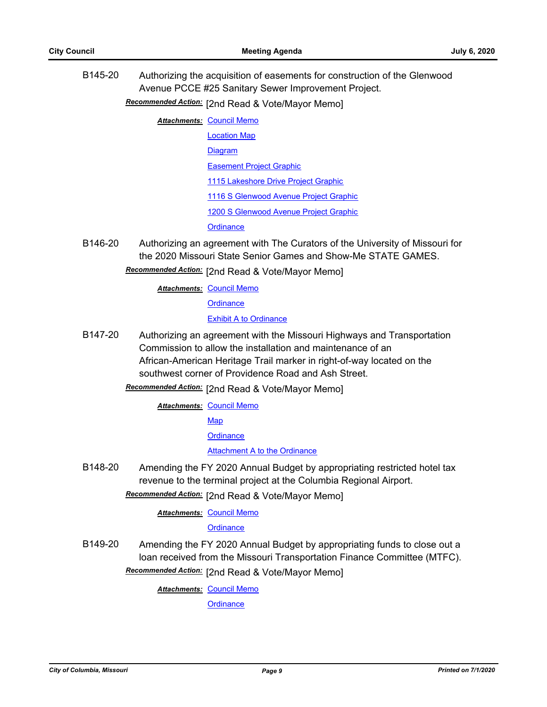B145-20 Authorizing the acquisition of easements for construction of the Glenwood Avenue PCCE #25 Sanitary Sewer Improvement Project.

[2nd Read & Vote/Mayor Memo] *Recommended Action:*

- **Attachments: [Council Memo](http://gocolumbiamo.legistar.com/gateway.aspx?M=F&ID=9ebf0878-4f4a-467b-b210-4306e7082324.docx)** 
	- [Location Map](http://gocolumbiamo.legistar.com/gateway.aspx?M=F&ID=ac0b784a-b37f-494d-b4ae-02c121ef8e94.pdf) [Diagram](http://gocolumbiamo.legistar.com/gateway.aspx?M=F&ID=64f70978-53ee-4790-9e2e-60bcbc0a5464.pdf)

[Easement Project Graphic](http://gocolumbiamo.legistar.com/gateway.aspx?M=F&ID=fdae4815-0e35-4681-a42b-7f507234fee0.pdf)

[1115 Lakeshore Drive Project Graphic](http://gocolumbiamo.legistar.com/gateway.aspx?M=F&ID=ce9eb123-36f5-4350-8b3d-dee167c02987.pdf)

[1116 S Glenwood Avenue Project Graphic](http://gocolumbiamo.legistar.com/gateway.aspx?M=F&ID=139a6f61-aedf-43c2-b270-85075f25d52f.pdf)

[1200 S Glenwood Avenue Project Graphic](http://gocolumbiamo.legistar.com/gateway.aspx?M=F&ID=e317b282-825f-42ac-a938-031efba8fc43.pdf)

**[Ordinance](http://gocolumbiamo.legistar.com/gateway.aspx?M=F&ID=81a724e3-79ab-4da8-984b-2de17a245b85.doc)** 

B146-20 Authorizing an agreement with The Curators of the University of Missouri for the 2020 Missouri State Senior Games and Show-Me STATE GAMES.

Recommended Action: [2nd Read & Vote/Mayor Memo]

**Attachments: [Council Memo](http://gocolumbiamo.legistar.com/gateway.aspx?M=F&ID=6a20d6fe-0eb2-4355-99a0-3b573d501ccb.docx)** 

**[Ordinance](http://gocolumbiamo.legistar.com/gateway.aspx?M=F&ID=1b41146c-fed9-4761-b9e6-730257350fd2.doc)** 

[Exhibit A to Ordinance](http://gocolumbiamo.legistar.com/gateway.aspx?M=F&ID=c3b69520-b3c7-4bda-a87b-be0947c4f9d6.pdf)

- B147-20 Authorizing an agreement with the Missouri Highways and Transportation Commission to allow the installation and maintenance of an African-American Heritage Trail marker in right-of-way located on the southwest corner of Providence Road and Ash Street.
	- Recommended Action: [2nd Read & Vote/Mayor Memo]

**Attachments: [Council Memo](http://gocolumbiamo.legistar.com/gateway.aspx?M=F&ID=5b1fadc4-61da-49c7-b0fd-e94d47d82720.docx)** 

[Map](http://gocolumbiamo.legistar.com/gateway.aspx?M=F&ID=edd4bd12-f62f-421f-8ee9-a45caaa89049.pdf)

**[Ordinance](http://gocolumbiamo.legistar.com/gateway.aspx?M=F&ID=112bddae-2041-47a5-b5de-152e20cfd6ec.doc)** 

#### [Attachment A to the Ordinance](http://gocolumbiamo.legistar.com/gateway.aspx?M=F&ID=a53bcbb1-99e7-4892-987e-f5f0953a1fc7.pdf)

B148-20 Amending the FY 2020 Annual Budget by appropriating restricted hotel tax revenue to the terminal project at the Columbia Regional Airport.

Recommended Action: [2nd Read & Vote/Mayor Memo]

**Attachments: [Council Memo](http://gocolumbiamo.legistar.com/gateway.aspx?M=F&ID=f61ec447-51c3-4257-a0ad-da942dad1ef2.docx)** 

# **[Ordinance](http://gocolumbiamo.legistar.com/gateway.aspx?M=F&ID=519ede5e-c176-4868-a26e-33768c84022d.doc)**

B149-20 Amending the FY 2020 Annual Budget by appropriating funds to close out a loan received from the Missouri Transportation Finance Committee (MTFC).

Recommended Action: [2nd Read & Vote/Mayor Memo]

**Attachments: [Council Memo](http://gocolumbiamo.legistar.com/gateway.aspx?M=F&ID=8c95ced8-e88c-4d83-9c7c-2b2b2eabf5d5.docx)**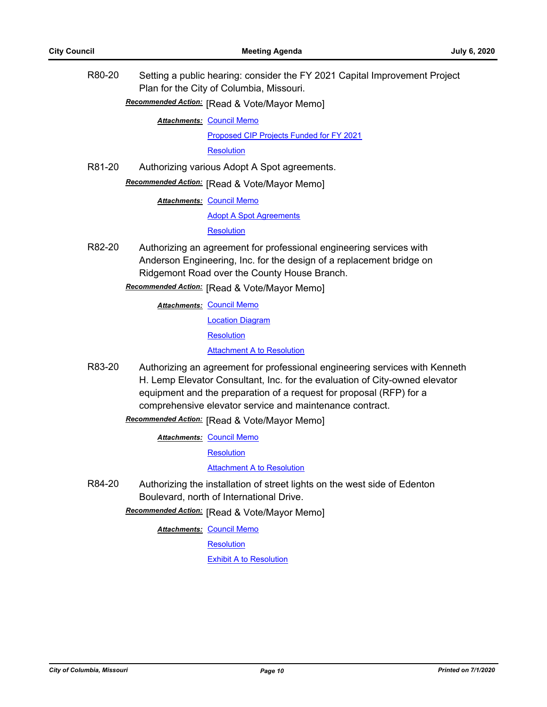| R80-20 | Setting a public hearing: consider the FY 2021 Capital Improvement Project<br>Plan for the City of Columbia, Missouri.                                                                                                                                                                        |
|--------|-----------------------------------------------------------------------------------------------------------------------------------------------------------------------------------------------------------------------------------------------------------------------------------------------|
|        | Recommended Action: [Read & Vote/Mayor Memo]                                                                                                                                                                                                                                                  |
|        | <b>Attachments: Council Memo</b>                                                                                                                                                                                                                                                              |
|        | Proposed CIP Projects Funded for FY 2021                                                                                                                                                                                                                                                      |
|        | <b>Resolution</b>                                                                                                                                                                                                                                                                             |
| R81-20 | Authorizing various Adopt A Spot agreements.                                                                                                                                                                                                                                                  |
|        | Recommended Action: [Read & Vote/Mayor Memo]                                                                                                                                                                                                                                                  |
|        | <b>Attachments: Council Memo</b>                                                                                                                                                                                                                                                              |
|        | <b>Adopt A Spot Agreements</b>                                                                                                                                                                                                                                                                |
|        | <b>Resolution</b>                                                                                                                                                                                                                                                                             |
| R82-20 | Authorizing an agreement for professional engineering services with<br>Anderson Engineering, Inc. for the design of a replacement bridge on<br>Ridgemont Road over the County House Branch.                                                                                                   |
|        | Recommended Action: [Read & Vote/Mayor Memo]                                                                                                                                                                                                                                                  |
|        | <b>Attachments: Council Memo</b>                                                                                                                                                                                                                                                              |
|        | <b>Location Diagram</b>                                                                                                                                                                                                                                                                       |
|        | <b>Resolution</b>                                                                                                                                                                                                                                                                             |
|        | <b>Attachment A to Resolution</b>                                                                                                                                                                                                                                                             |
| R83-20 | Authorizing an agreement for professional engineering services with Kenneth<br>H. Lemp Elevator Consultant, Inc. for the evaluation of City-owned elevator<br>equipment and the preparation of a request for proposal (RFP) for a<br>comprehensive elevator service and maintenance contract. |
|        | Recommended Action: [Read & Vote/Mayor Memo]                                                                                                                                                                                                                                                  |
|        | <b>Attachments: Council Memo</b>                                                                                                                                                                                                                                                              |
|        | <b>Resolution</b>                                                                                                                                                                                                                                                                             |
|        | <b>Attachment A to Resolution</b>                                                                                                                                                                                                                                                             |
| R84-20 | Authorizing the installation of street lights on the west side of Edenton<br>Boulevard, north of International Drive.                                                                                                                                                                         |
|        | Recommended Action: [Read & Vote/Mayor Memo]                                                                                                                                                                                                                                                  |
|        | Attachments: Council Memo                                                                                                                                                                                                                                                                     |

**[Resolution](http://gocolumbiamo.legistar.com/gateway.aspx?M=F&ID=301f7c86-05f1-4903-8d20-c8eb86539497.doc)** 

**[Exhibit A to Resolution](http://gocolumbiamo.legistar.com/gateway.aspx?M=F&ID=7e4a1f4f-bd8e-4a11-9c04-970764015ca0.pdf)**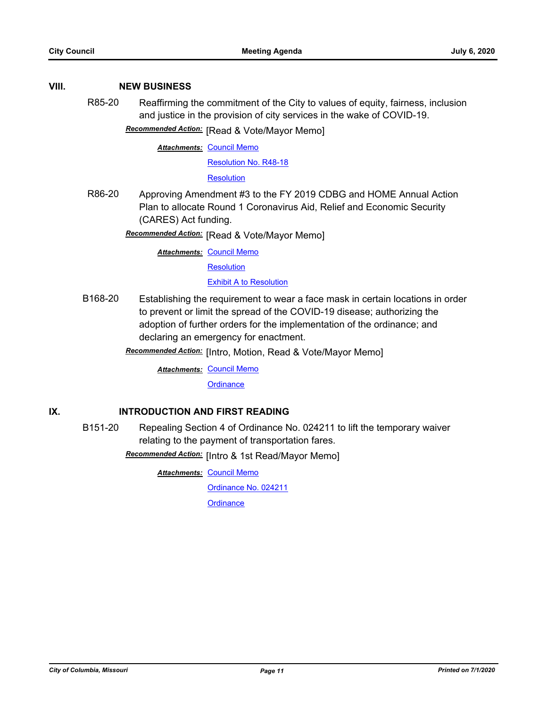## **VIII. NEW BUSINESS**

R85-20 Reaffirming the commitment of the City to values of equity, fairness, inclusion and justice in the provision of city services in the wake of COVID-19.

**Recommended Action:** [Read & Vote/Mayor Memo]

**Attachments: [Council Memo](http://gocolumbiamo.legistar.com/gateway.aspx?M=F&ID=f3cad4dd-3e62-4432-af2a-dece0a5afd80.docx)** 

[Resolution No. R48-18](http://gocolumbiamo.legistar.com/gateway.aspx?M=F&ID=4b4e42a3-6b83-4372-a3c5-74a5930eead8.pdf)

**[Resolution](http://gocolumbiamo.legistar.com/gateway.aspx?M=F&ID=370d0076-4c0b-4282-919b-739be3beb650.doc)** 

R86-20 Approving Amendment #3 to the FY 2019 CDBG and HOME Annual Action Plan to allocate Round 1 Coronavirus Aid, Relief and Economic Security (CARES) Act funding.

**Recommended Action:** [Read & Vote/Mayor Memo]

**Attachments: [Council Memo](http://gocolumbiamo.legistar.com/gateway.aspx?M=F&ID=834412c0-4c27-45b2-b221-1e8f3d7114d7.docx)** 

**[Resolution](http://gocolumbiamo.legistar.com/gateway.aspx?M=F&ID=3380934b-caec-4744-9f55-1da2043f169c.doc)** 

[Exhibit A to Resolution](http://gocolumbiamo.legistar.com/gateway.aspx?M=F&ID=4ccb0bb3-3ca6-49a9-87be-37995b4c8f3e.pdf)

B168-20 Establishing the requirement to wear a face mask in certain locations in order to prevent or limit the spread of the COVID-19 disease; authorizing the adoption of further orders for the implementation of the ordinance; and declaring an emergency for enactment.

**Recommended Action:** [Intro, Motion, Read & Vote/Mayor Memo]

**Attachments: [Council Memo](http://gocolumbiamo.legistar.com/gateway.aspx?M=F&ID=371fe85d-85f9-4f66-8bc7-7108f879b17a.docx)** 

**[Ordinance](http://gocolumbiamo.legistar.com/gateway.aspx?M=F&ID=278a24b8-7c2c-4fc0-b73e-0ec7fd480538.docx)** 

# **IX. INTRODUCTION AND FIRST READING**

B151-20 Repealing Section 4 of Ordinance No. 024211 to lift the temporary waiver relating to the payment of transportation fares.

**Recommended Action:** [Intro & 1st Read/Mayor Memo]

**Attachments: [Council Memo](http://gocolumbiamo.legistar.com/gateway.aspx?M=F&ID=0325d0ac-ed07-4dfe-af35-bbd4ae86bf05.docx)** 

[Ordinance No. 024211](http://gocolumbiamo.legistar.com/gateway.aspx?M=F&ID=77b53a7a-f32b-4125-bbdb-51d196835a36.pdf)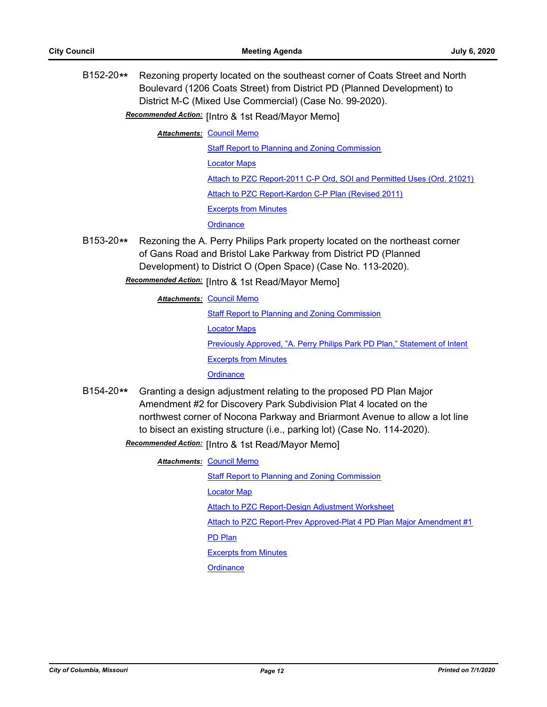B152-20**\*\*** Rezoning property located on the southeast corner of Coats Street and North Boulevard (1206 Coats Street) from District PD (Planned Development) to District M-C (Mixed Use Commercial) (Case No. 99-2020).

# Recommended Action: [Intro & 1st Read/Mayor Memo]

**Attachments: [Council Memo](http://gocolumbiamo.legistar.com/gateway.aspx?M=F&ID=44f27125-e0ac-43fc-a0f0-39a2ade7b302.docx)** 

[Staff Report to Planning and Zoning Commission](http://gocolumbiamo.legistar.com/gateway.aspx?M=F&ID=ebfe2bcf-cf9f-4e8f-a49d-e3dd56506795.docx) [Locator Maps](http://gocolumbiamo.legistar.com/gateway.aspx?M=F&ID=9c769ab9-b8aa-4247-a0f4-b31d258bdf1e.pdf) [Attach to PZC Report-2011 C-P Ord, SOI and Permitted Uses \(Ord. 21021\)](http://gocolumbiamo.legistar.com/gateway.aspx?M=F&ID=417d3b04-1e3a-4884-84e4-71ae02305f88.pdf)

[Attach to PZC Report-Kardon C-P Plan \(Revised 2011\)](http://gocolumbiamo.legistar.com/gateway.aspx?M=F&ID=f07cbf7d-c271-4e43-8cf3-7d5f972fa999.pdf)

[Excerpts from Minutes](http://gocolumbiamo.legistar.com/gateway.aspx?M=F&ID=95269239-b06c-46cf-bb60-cbb5d696c73e.docx)

**[Ordinance](http://gocolumbiamo.legistar.com/gateway.aspx?M=F&ID=1c431202-ae23-427b-b790-97e9e5205a1b.doc)** 

B153-20**\*\*** Rezoning the A. Perry Philips Park property located on the northeast corner of Gans Road and Bristol Lake Parkway from District PD (Planned Development) to District O (Open Space) (Case No. 113-2020).

Recommended Action: [Intro & 1st Read/Mayor Memo]

#### **Attachments: [Council Memo](http://gocolumbiamo.legistar.com/gateway.aspx?M=F&ID=06cd6f8c-8e99-4942-9d0c-9c5bf86e950b.docx)**

[Staff Report to Planning and Zoning Commission](http://gocolumbiamo.legistar.com/gateway.aspx?M=F&ID=e965b1c0-22c3-4c6b-b796-86d30cada500.pdf) [Locator Maps](http://gocolumbiamo.legistar.com/gateway.aspx?M=F&ID=a1ac6b78-14b2-4de3-8309-2ee4ac755cd7.pdf) [Previously Approved, "A. Perry Philips Park PD Plan," Statement of Intent](http://gocolumbiamo.legistar.com/gateway.aspx?M=F&ID=8bb9dd0e-3968-4245-9ec3-a51c7942aaf0.pdf) [Excerpts from Minutes](http://gocolumbiamo.legistar.com/gateway.aspx?M=F&ID=8d6fcaf1-8f7e-422f-9eb4-2615af06d066.docx) **[Ordinance](http://gocolumbiamo.legistar.com/gateway.aspx?M=F&ID=8108006a-c620-4860-91b7-744f6d1938da.doc)** 

B154-20**\*\*** Granting a design adjustment relating to the proposed PD Plan Major Amendment #2 for Discovery Park Subdivision Plat 4 located on the northwest corner of Nocona Parkway and Briarmont Avenue to allow a lot line to bisect an existing structure (i.e., parking lot) (Case No. 114-2020).

**Recommended Action:** [Intro & 1st Read/Mayor Memo]

#### **Attachments: [Council Memo](http://gocolumbiamo.legistar.com/gateway.aspx?M=F&ID=4ed7eedb-e517-4686-a23f-dddfd6b3ab58.docx)**

[Staff Report to Planning and Zoning Commission](http://gocolumbiamo.legistar.com/gateway.aspx?M=F&ID=520ecdbd-4b3f-4aae-a34e-e63f189324e6.docx)

[Locator Map](http://gocolumbiamo.legistar.com/gateway.aspx?M=F&ID=e225f18e-fc28-4781-82f0-c4370549ce7b.pdf)

[Attach to PZC Report-Design Adjustment Worksheet](http://gocolumbiamo.legistar.com/gateway.aspx?M=F&ID=e2699604-d5ce-424f-a94b-00b2c3a0edd3.pdf)

[Attach to PZC Report-Prev Approved-Plat 4 PD Plan Major Amendment #1](http://gocolumbiamo.legistar.com/gateway.aspx?M=F&ID=cd8e3c84-a56b-4ea7-962a-52fc1659f473.pdf)

[PD Plan](http://gocolumbiamo.legistar.com/gateway.aspx?M=F&ID=af43b4cd-2e05-494b-980e-621edfcc8557.pdf)

[Excerpts from Minutes](http://gocolumbiamo.legistar.com/gateway.aspx?M=F&ID=8f9646c7-d46b-40b1-84b9-506c7da1290c.docx)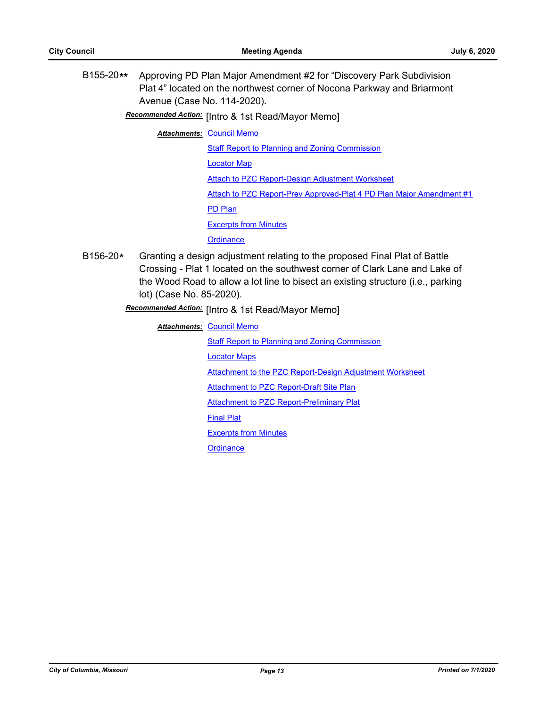B155-20**\*\*** Approving PD Plan Major Amendment #2 for "Discovery Park Subdivision Plat 4" located on the northwest corner of Nocona Parkway and Briarmont Avenue (Case No. 114-2020).

Recommended Action: [Intro & 1st Read/Mayor Memo]

**Attachments: [Council Memo](http://gocolumbiamo.legistar.com/gateway.aspx?M=F&ID=c35902a8-ac2d-44e7-bf23-95cced58dc5c.docx)** 

[Staff Report to Planning and Zoning Commission](http://gocolumbiamo.legistar.com/gateway.aspx?M=F&ID=1efb3890-98d5-403e-b9cc-240e9e169cf9.docx) [Locator Map](http://gocolumbiamo.legistar.com/gateway.aspx?M=F&ID=39d3c298-15d9-42d8-b8ea-9b6f82995014.pdf) [Attach to PZC Report-Design Adjustment Worksheet](http://gocolumbiamo.legistar.com/gateway.aspx?M=F&ID=6f07fbd7-dca6-4f52-8bb1-86ffbdbf19a4.pdf) [Attach to PZC Report-Prev Approved-Plat 4 PD Plan Major Amendment #1](http://gocolumbiamo.legistar.com/gateway.aspx?M=F&ID=12f3cf45-e17c-4d0e-b5f5-6604491f5e95.pdf) [PD Plan](http://gocolumbiamo.legistar.com/gateway.aspx?M=F&ID=dc870e7f-5ab4-486f-b896-6f9d88d17d4a.pdf) [Excerpts from Minutes](http://gocolumbiamo.legistar.com/gateway.aspx?M=F&ID=b17b3030-6197-44b1-a1f8-f4a0bbd23424.docx) **[Ordinance](http://gocolumbiamo.legistar.com/gateway.aspx?M=F&ID=703ef3cf-4d67-4900-b255-886362b27ab4.doc)** 

B156-20**\*** Granting a design adjustment relating to the proposed Final Plat of Battle Crossing - Plat 1 located on the southwest corner of Clark Lane and Lake of the Wood Road to allow a lot line to bisect an existing structure (i.e., parking lot) (Case No. 85-2020).

**Recommended Action:** [Intro & 1st Read/Mayor Memo]

**Attachments: [Council Memo](http://gocolumbiamo.legistar.com/gateway.aspx?M=F&ID=3358e04f-8806-474c-b11c-8593bdfb7d68.docx)** 

[Staff Report to Planning and Zoning Commission](http://gocolumbiamo.legistar.com/gateway.aspx?M=F&ID=f01116f2-0ce2-496d-8213-586b81a9e0f0.docx)

[Locator Maps](http://gocolumbiamo.legistar.com/gateway.aspx?M=F&ID=d6287f21-2c86-4aaa-8088-53141b4f176c.pdf)

[Attachment to the PZC Report-Design Adjustment Worksheet](http://gocolumbiamo.legistar.com/gateway.aspx?M=F&ID=2cf97358-3f1a-464e-a606-86aecae92137.pdf)

**[Attachment to PZC Report-Draft Site Plan](http://gocolumbiamo.legistar.com/gateway.aspx?M=F&ID=b0cea20b-b5bf-45b2-822e-86b1e45970c2.pdf)** 

[Attachment to PZC Report-Preliminary Plat](http://gocolumbiamo.legistar.com/gateway.aspx?M=F&ID=a2b81beb-a5a4-4e40-85d0-0979f9a742b5.pdf)

[Final Plat](http://gocolumbiamo.legistar.com/gateway.aspx?M=F&ID=0b15cd5e-2812-436e-a191-fbc4c362721e.pdf)

[Excerpts from Minutes](http://gocolumbiamo.legistar.com/gateway.aspx?M=F&ID=748589a5-c37a-4c3a-991b-904f4c5bb1ee.docx)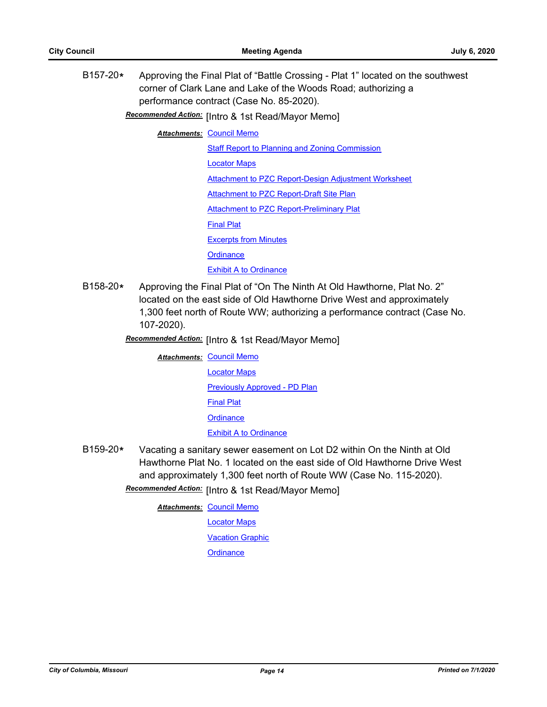B157-20**\*** Approving the Final Plat of "Battle Crossing - Plat 1" located on the southwest corner of Clark Lane and Lake of the Woods Road; authorizing a performance contract (Case No. 85-2020).

**Recommended Action:** [Intro & 1st Read/Mayor Memo]

**Attachments: [Council Memo](http://gocolumbiamo.legistar.com/gateway.aspx?M=F&ID=9c81ade5-e855-4b06-8605-1d8052a6e810.docx)** 

[Staff Report to Planning and Zoning Commission](http://gocolumbiamo.legistar.com/gateway.aspx?M=F&ID=2b8b746e-0b13-4ec9-98c6-34d1aa785dc5.docx)

[Locator Maps](http://gocolumbiamo.legistar.com/gateway.aspx?M=F&ID=c771d1d3-180b-4390-b3fa-0369012f2e39.pdf)

[Attachment to PZC Report-Design Adjustment Worksheet](http://gocolumbiamo.legistar.com/gateway.aspx?M=F&ID=29a31756-0959-4fbf-84c9-73dd318e0c36.pdf)

[Attachment to PZC Report-Draft Site Plan](http://gocolumbiamo.legistar.com/gateway.aspx?M=F&ID=b6f6c1ce-b45b-41b8-abd3-15cb05b5536b.pdf)

[Attachment to PZC Report-Preliminary Plat](http://gocolumbiamo.legistar.com/gateway.aspx?M=F&ID=c3cc254e-9564-47d3-b407-67b6dfd771cb.pdf)

[Final Plat](http://gocolumbiamo.legistar.com/gateway.aspx?M=F&ID=f3dc04b5-35b1-4d0c-b2de-5b1a2307a9e4.pdf)

[Excerpts from Minutes](http://gocolumbiamo.legistar.com/gateway.aspx?M=F&ID=3c8ab1fe-666e-4752-92b3-c6ae3aa67316.docx)

**[Ordinance](http://gocolumbiamo.legistar.com/gateway.aspx?M=F&ID=9a0dc301-9761-4154-81a6-a5ac052acfc7.doc)** 

**[Exhibit A to Ordinance](http://gocolumbiamo.legistar.com/gateway.aspx?M=F&ID=7735f170-127d-411b-a87f-08048e001615.pdf)** 

B158-20**\*** Approving the Final Plat of "On The Ninth At Old Hawthorne, Plat No. 2" located on the east side of Old Hawthorne Drive West and approximately 1,300 feet north of Route WW; authorizing a performance contract (Case No. 107-2020).

**Recommended Action:** [Intro & 1st Read/Mayor Memo]

**Attachments: [Council Memo](http://gocolumbiamo.legistar.com/gateway.aspx?M=F&ID=0ce7a7b1-8289-48b6-b217-701c1ac73fd9.docx)** 

[Locator Maps](http://gocolumbiamo.legistar.com/gateway.aspx?M=F&ID=ec3bacce-c64a-41d3-9aa7-de7b6af387b1.pdf) [Previously Approved - PD Plan](http://gocolumbiamo.legistar.com/gateway.aspx?M=F&ID=79e7fc9b-1458-48b4-b5ad-d6496304550f.pdf) [Final Plat](http://gocolumbiamo.legistar.com/gateway.aspx?M=F&ID=e3b5ad14-547d-4fe4-bcb4-683b10db4fd4.pdf) **[Ordinance](http://gocolumbiamo.legistar.com/gateway.aspx?M=F&ID=7774ecab-b0dd-4fcd-a216-dfd93210a198.doc) [Exhibit A to Ordinance](http://gocolumbiamo.legistar.com/gateway.aspx?M=F&ID=479ce8d5-f056-49fc-b4fc-db583f04eddc.pdf)** 

B159-20**\*** Vacating a sanitary sewer easement on Lot D2 within On the Ninth at Old Hawthorne Plat No. 1 located on the east side of Old Hawthorne Drive West and approximately 1,300 feet north of Route WW (Case No. 115-2020). Recommended Action: [Intro & 1st Read/Mayor Memo]

**Attachments: [Council Memo](http://gocolumbiamo.legistar.com/gateway.aspx?M=F&ID=78ca3808-67d5-475d-b713-9a38fac53403.docx)** 

[Locator Maps](http://gocolumbiamo.legistar.com/gateway.aspx?M=F&ID=6b6a325a-637f-44b7-887b-02bf0234107b.pdf) [Vacation Graphic](http://gocolumbiamo.legistar.com/gateway.aspx?M=F&ID=9afbb135-e4ea-4769-b4c9-ca02ca1f7750.pdf)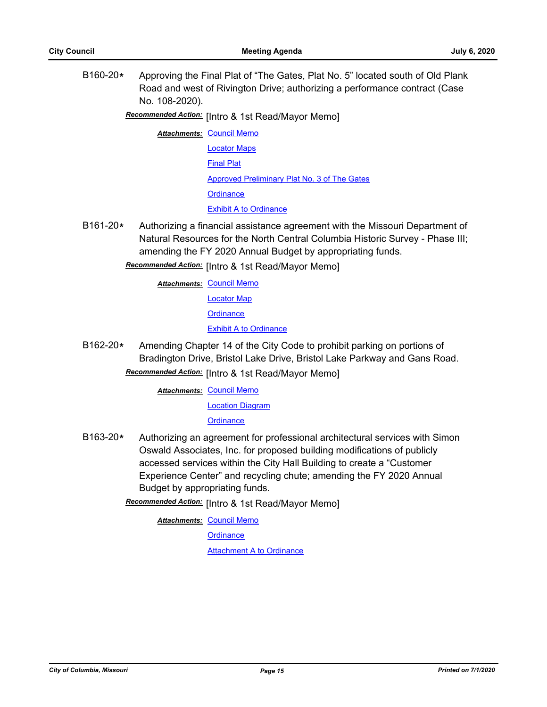B160-20**\*** Approving the Final Plat of "The Gates, Plat No. 5" located south of Old Plank Road and west of Rivington Drive; authorizing a performance contract (Case No. 108-2020).

Recommended Action: [Intro & 1st Read/Mayor Memo]

- **Attachments: [Council Memo](http://gocolumbiamo.legistar.com/gateway.aspx?M=F&ID=ab793383-8ef8-4049-9c40-6403ae0628b6.docx)** [Locator Maps](http://gocolumbiamo.legistar.com/gateway.aspx?M=F&ID=d52cf460-cff8-4909-9451-02ec25e8b821.pdf) [Final Plat](http://gocolumbiamo.legistar.com/gateway.aspx?M=F&ID=5017b0ea-9ede-4afb-b9df-cf485e7bbf79.pdf) [Approved Preliminary Plat No. 3 of The Gates](http://gocolumbiamo.legistar.com/gateway.aspx?M=F&ID=6e9aec2c-da94-428e-b8cb-bb3b7c14593a.pdf) **[Ordinance](http://gocolumbiamo.legistar.com/gateway.aspx?M=F&ID=03ba26fe-fbc1-4528-a403-76172b531785.doc)** [Exhibit A to Ordinance](http://gocolumbiamo.legistar.com/gateway.aspx?M=F&ID=609a51a0-f446-41ef-b03a-dcd2a1618fa5.pdf)
- B161-20**\*** Authorizing a financial assistance agreement with the Missouri Department of Natural Resources for the North Central Columbia Historic Survey - Phase III; amending the FY 2020 Annual Budget by appropriating funds.

# **Recommended Action:** [Intro & 1st Read/Mayor Memo]

**Attachments: [Council Memo](http://gocolumbiamo.legistar.com/gateway.aspx?M=F&ID=22fb4e86-6ca3-4629-9704-ab134cc23be9.docx)** 

[Locator Map](http://gocolumbiamo.legistar.com/gateway.aspx?M=F&ID=2ffff623-d173-4e27-bebd-b256e3c44572.pdf)

**[Ordinance](http://gocolumbiamo.legistar.com/gateway.aspx?M=F&ID=1c0adf22-d5f6-464e-a6fa-d6a3abcd08fe.doc)** 

[Exhibit A to Ordinance](http://gocolumbiamo.legistar.com/gateway.aspx?M=F&ID=4697897e-4560-4c4b-a26b-5509f61a1d62.pdf)

B162-20**\*** Amending Chapter 14 of the City Code to prohibit parking on portions of Bradington Drive, Bristol Lake Drive, Bristol Lake Parkway and Gans Road. Recommended Action: [Intro & 1st Read/Mayor Memo]

**Attachments: [Council Memo](http://gocolumbiamo.legistar.com/gateway.aspx?M=F&ID=abd824ac-a01b-4468-9a18-6b368bf3004b.docx)** 

[Location Diagram](http://gocolumbiamo.legistar.com/gateway.aspx?M=F&ID=cb64ca0b-8662-4b85-8209-45c040fe9ac3.pdf)

**[Ordinance](http://gocolumbiamo.legistar.com/gateway.aspx?M=F&ID=f509f6a9-b708-40cb-87ac-4a7c62a6ae65.doc)** 

- B163-20**\*** Authorizing an agreement for professional architectural services with Simon Oswald Associates, Inc. for proposed building modifications of publicly accessed services within the City Hall Building to create a "Customer Experience Center" and recycling chute; amending the FY 2020 Annual Budget by appropriating funds.
	- Recommended Action: [Intro & 1st Read/Mayor Memo]

**Attachments: [Council Memo](http://gocolumbiamo.legistar.com/gateway.aspx?M=F&ID=1cd0feba-9232-472e-a497-3ddd4011d2c4.docx)** 

**[Ordinance](http://gocolumbiamo.legistar.com/gateway.aspx?M=F&ID=e124ee27-6cbf-45ec-bb88-24e38f1482d0.doc)** 

**[Attachment A to Ordinance](http://gocolumbiamo.legistar.com/gateway.aspx?M=F&ID=886056ef-53e9-462a-9eee-f8e19581ba1a.pdf)**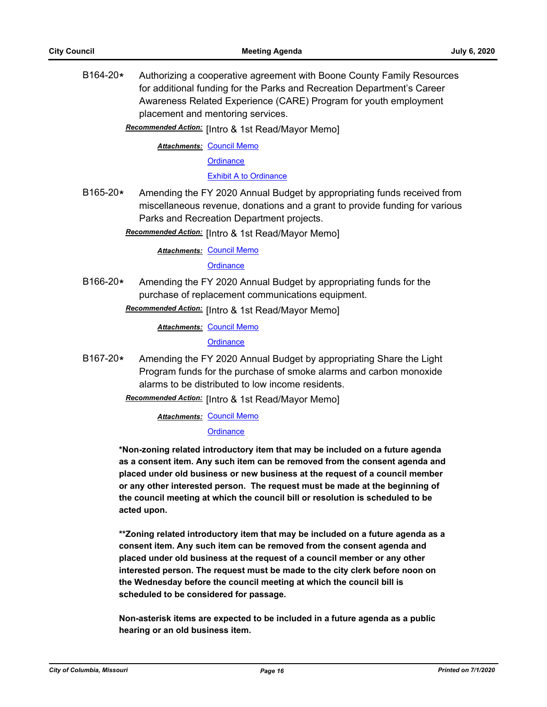B164-20**\*** Authorizing a cooperative agreement with Boone County Family Resources for additional funding for the Parks and Recreation Department's Career Awareness Related Experience (CARE) Program for youth employment placement and mentoring services.

Recommended Action: [Intro & 1st Read/Mayor Memo]

**Attachments: [Council Memo](http://gocolumbiamo.legistar.com/gateway.aspx?M=F&ID=4b4207a9-6f2e-4411-8b5f-c1323e27988e.docx)** 

**[Ordinance](http://gocolumbiamo.legistar.com/gateway.aspx?M=F&ID=2d3dc11b-a031-4089-822d-46060ba22cf3.doc)** 

[Exhibit A to Ordinance](http://gocolumbiamo.legistar.com/gateway.aspx?M=F&ID=76017c05-2468-4683-bac5-04e901ee8523.pdf)

B165-20**\*** Amending the FY 2020 Annual Budget by appropriating funds received from miscellaneous revenue, donations and a grant to provide funding for various Parks and Recreation Department projects.

Recommended Action: [Intro & 1st Read/Mayor Memo]

**Attachments: [Council Memo](http://gocolumbiamo.legistar.com/gateway.aspx?M=F&ID=70a5def9-8136-433f-8cbd-5859626e7716.docx)** 

**[Ordinance](http://gocolumbiamo.legistar.com/gateway.aspx?M=F&ID=bbf22d23-be24-4e83-9cfd-fd208f2071b4.doc)** 

B166-20**\*** Amending the FY 2020 Annual Budget by appropriating funds for the purchase of replacement communications equipment.

**Recommended Action:** [Intro & 1st Read/Mayor Memo]

**Attachments: [Council Memo](http://gocolumbiamo.legistar.com/gateway.aspx?M=F&ID=020364d4-aa77-4175-9a4c-e3fe3649cb1b.docx)** 

**[Ordinance](http://gocolumbiamo.legistar.com/gateway.aspx?M=F&ID=ae1eb46c-4345-4431-8472-37125e438476.doc)** 

B167-20**\*** Amending the FY 2020 Annual Budget by appropriating Share the Light Program funds for the purchase of smoke alarms and carbon monoxide alarms to be distributed to low income residents.

**Recommended Action:** [Intro & 1st Read/Mayor Memo]

**Attachments: [Council Memo](http://gocolumbiamo.legistar.com/gateway.aspx?M=F&ID=eb979f28-0fe7-47b9-b800-141ac470a627.docx)** 

#### **[Ordinance](http://gocolumbiamo.legistar.com/gateway.aspx?M=F&ID=221d83de-a8de-4265-83ca-b1e90828ea18.doc)**

**\*Non-zoning related introductory item that may be included on a future agenda as a consent item. Any such item can be removed from the consent agenda and placed under old business or new business at the request of a council member or any other interested person. The request must be made at the beginning of the council meeting at which the council bill or resolution is scheduled to be acted upon.** 

**\*\*Zoning related introductory item that may be included on a future agenda as a consent item. Any such item can be removed from the consent agenda and placed under old business at the request of a council member or any other interested person. The request must be made to the city clerk before noon on the Wednesday before the council meeting at which the council bill is scheduled to be considered for passage.**

**Non-asterisk items are expected to be included in a future agenda as a public hearing or an old business item.**